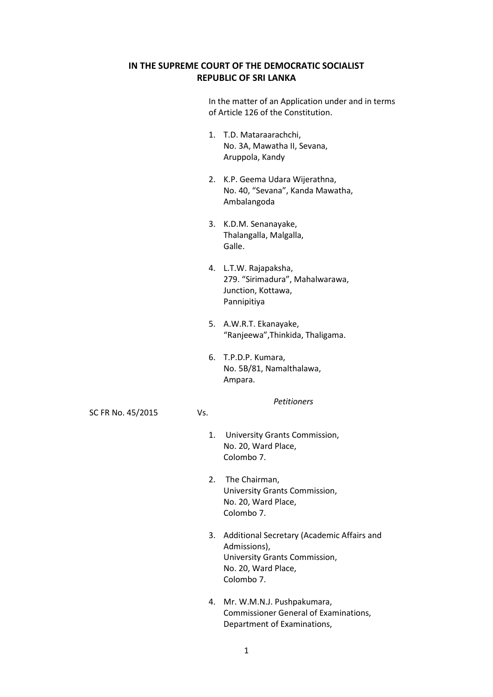## **IN THE SUPREME COURT OF THE DEMOCRATIC SOCIALIST REPUBLIC OF SRI LANKA**

|                   |     | In the matter of an Application under and in terms<br>of Article 126 of the Constitution.     |
|-------------------|-----|-----------------------------------------------------------------------------------------------|
|                   | 1.  | T.D. Mataraarachchi,<br>No. 3A, Mawatha II, Sevana,<br>Aruppola, Kandy                        |
|                   |     | 2. K.P. Geema Udara Wijerathna,<br>No. 40, "Sevana", Kanda Mawatha,<br>Ambalangoda            |
|                   | 3.  | K.D.M. Senanayake,<br>Thalangalla, Malgalla,<br>Galle.                                        |
|                   |     | 4. L.T.W. Rajapaksha,<br>279. "Sirimadura", Mahalwarawa,<br>Junction, Kottawa,<br>Pannipitiya |
|                   | 5.  | A.W.R.T. Ekanayake,<br>"Ranjeewa", Thinkida, Thaligama.                                       |
|                   |     | 6. T.P.D.P. Kumara,<br>No. 5B/81, Namalthalawa,<br>Ampara.                                    |
| SC FR No. 45/2015 | Vs. | <b>Petitioners</b>                                                                            |
|                   | 1.  | University Grants Commission,<br>No. 20, Ward Place,<br>Colombo 7.                            |
|                   | 2.  | The Chairman,<br>University Grants Commission,<br>No. 20, Ward Place,<br>Colombo 7.           |
|                   | 3.  | Additional Secretary (Academic Affairs and                                                    |

- Admissions), University Grants Commission, No. 20, Ward Place, Colombo 7.
- 4. Mr. W.M.N.J. Pushpakumara, Commissioner General of Examinations, Department of Examinations,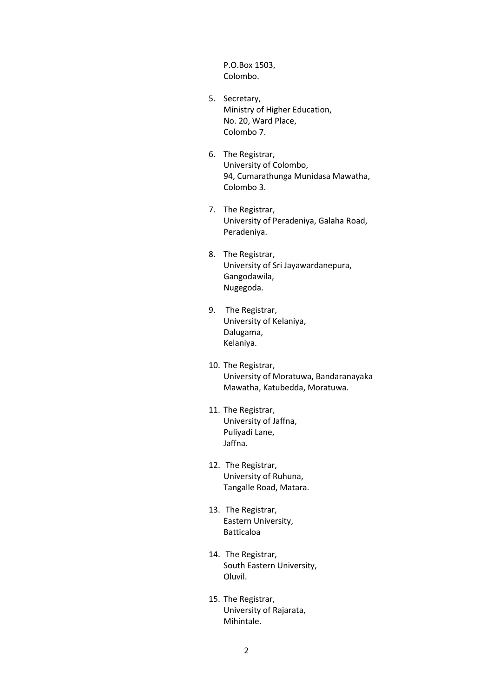P.O.Box 1503, Colombo.

- 5. Secretary, Ministry of Higher Education, No. 20, Ward Place, Colombo 7.
- 6. The Registrar, University of Colombo, 94, Cumarathunga Munidasa Mawatha, Colombo 3.
- 7. The Registrar, University of Peradeniya, Galaha Road, Peradeniya.
- 8. The Registrar, University of Sri Jayawardanepura, Gangodawila, Nugegoda.
- 9. The Registrar, University of Kelaniya, Dalugama, Kelaniya.
- 10. The Registrar, University of Moratuwa, Bandaranayaka Mawatha, Katubedda, Moratuwa.
- 11. The Registrar, University of Jaffna, Puliyadi Lane, Jaffna.
- 12. The Registrar, University of Ruhuna, Tangalle Road, Matara.
- 13. The Registrar, Eastern University, Batticaloa
- 14. The Registrar, South Eastern University, Oluvil.
- 15. The Registrar, University of Rajarata, Mihintale.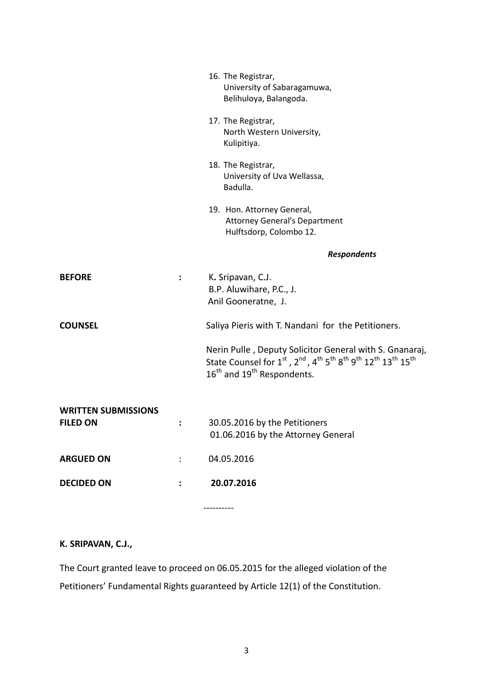|                                               |                | 16. The Registrar,<br>University of Sabaragamuwa,<br>Belihuloya, Balangoda.                                                                                                                                                                                     |
|-----------------------------------------------|----------------|-----------------------------------------------------------------------------------------------------------------------------------------------------------------------------------------------------------------------------------------------------------------|
|                                               |                | 17. The Registrar,<br>North Western University,<br>Kulipitiya.                                                                                                                                                                                                  |
|                                               |                | 18. The Registrar,<br>University of Uva Wellassa,<br>Badulla.                                                                                                                                                                                                   |
|                                               |                | 19. Hon. Attorney General,<br><b>Attorney General's Department</b><br>Hulftsdorp, Colombo 12.                                                                                                                                                                   |
|                                               |                | <b>Respondents</b>                                                                                                                                                                                                                                              |
| <b>BEFORE</b>                                 | $\ddot{\cdot}$ | K. Sripavan, C.J.<br>B.P. Aluwihare, P.C., J.<br>Anil Gooneratne, J.                                                                                                                                                                                            |
| <b>COUNSEL</b>                                |                | Saliya Pieris with T. Nandani for the Petitioners.                                                                                                                                                                                                              |
|                                               |                | Nerin Pulle, Deputy Solicitor General with S. Gnanaraj,<br>State Counsel for 1st, 2nd, 4 <sup>th</sup> 5 <sup>th</sup> 8 <sup>th</sup> 9 <sup>th</sup> 12 <sup>th</sup> 13 <sup>th</sup> 15 <sup>th</sup><br>16 <sup>th</sup> and 19 <sup>th</sup> Respondents. |
| <b>WRITTEN SUBMISSIONS</b><br><b>FILED ON</b> | $\ddot{\cdot}$ | 30.05.2016 by the Petitioners<br>01.06.2016 by the Attorney General                                                                                                                                                                                             |
| <b>ARGUED ON</b>                              |                | 04.05.2016                                                                                                                                                                                                                                                      |
| <b>DECIDED ON</b>                             |                | 20.07.2016                                                                                                                                                                                                                                                      |
|                                               |                |                                                                                                                                                                                                                                                                 |

# **K. SRIPAVAN, C.J.,**

The Court granted leave to proceed on 06.05.2015 for the alleged violation of the Petitioners' Fundamental Rights guaranteed by Article 12(1) of the Constitution.